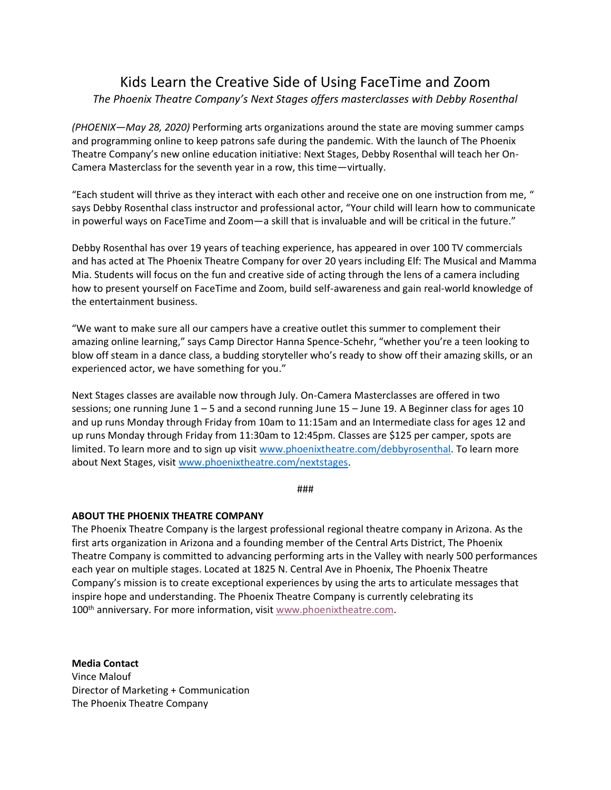## Kids Learn the Creative Side of Using FaceTime and Zoom

*The Phoenix Theatre Company's Next Stages offers masterclasses with Debby Rosenthal*

*(PHOENIX—May 28, 2020)* Performing arts organizations around the state are moving summer camps and programming online to keep patrons safe during the pandemic. With the launch of The Phoenix Theatre Company's new online education initiative: Next Stages, Debby Rosenthal will teach her On-Camera Masterclass for the seventh year in a row, this time—virtually.

"Each student will thrive as they interact with each other and receive one on one instruction from me, " says Debby Rosenthal class instructor and professional actor, "Your child will learn how to communicate in powerful ways on FaceTime and Zoom—a skill that is invaluable and will be critical in the future."

Debby Rosenthal has over 19 years of teaching experience, has appeared in over 100 TV commercials and has acted at The Phoenix Theatre Company for over 20 years including Elf: The Musical and Mamma Mia. Students will focus on the fun and creative side of acting through the lens of a camera including how to present yourself on FaceTime and Zoom, build self-awareness and gain real-world knowledge of the entertainment business.

"We want to make sure all our campers have a creative outlet this summer to complement their amazing online learning," says Camp Director Hanna Spence-Schehr, "whether you're a teen looking to blow off steam in a dance class, a budding storyteller who's ready to show off their amazing skills, or an experienced actor, we have something for you."

Next Stages classes are available now through July. On-Camera Masterclasses are offered in two sessions; one running June 1 – 5 and a second running June 15 – June 19. A Beginner class for ages 10 and up runs Monday through Friday from 10am to 11:15am and an Intermediate class for ages 12 and up runs Monday through Friday from 11:30am to 12:45pm. Classes are \$125 per camper, spots are limited. To learn more and to sign up visit [www.phoenixtheatre.com/debbyrosenthal.](http://www.phoenixtheatre.com/debbyrosenthal) To learn more about Next Stages, visit [www.phoenixtheatre.com/nextstages.](http://www.phoenixtheatre.com/nextstages)

###

## **ABOUT THE PHOENIX THEATRE COMPANY**

The Phoenix Theatre Company is the largest professional regional theatre company in Arizona. As the first arts organization in Arizona and a founding member of the Central Arts District, The Phoenix Theatre Company is committed to advancing performing arts in the Valley with nearly 500 performances each year on multiple stages. Located at 1825 N. Central Ave in Phoenix, The Phoenix Theatre Company's mission is to create exceptional experiences by using the arts to articulate messages that inspire hope and understanding. The Phoenix Theatre Company is currently celebrating its 100<sup>th</sup> anniversary. For more information, visit [www.phoenixtheatre.com.](http://www.phoenixtheatre.com/)

**Media Contact** Vince Malouf Director of Marketing + Communication The Phoenix Theatre Company